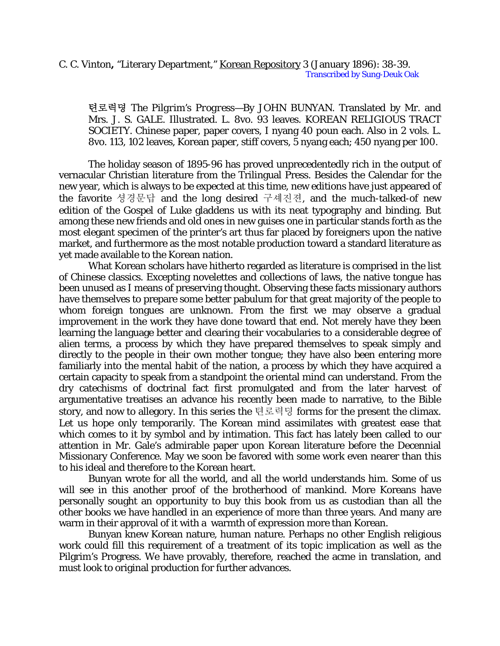## C. C. Vinton**,** "Literary Department," Korean Repository 3 (January 1896): 38-39. Transcribed by Sung-Deuk Oak

텬로력뎡 *The Pilgrim's Progress*—By JOHN BUNYAN. Translated by Mr. and Mrs. J. S. GALE. Illustrated. L. 8vo. 93 leaves. KOREAN RELIGIOUS TRACT SOCIETY. Chinese paper, paper covers, I nyang 40 poun each. Also in 2 vols. L. 8vo. 113, 102 leaves, Korean paper, stiff covers, 5 nyang each; 450 nyang per 100.

The holiday season of 1895-96 has proved unprecedentedly rich in the output of vernacular Christian literature from the Trilingual Press. Besides the Calendar for the new year, which is always to be expected at this time, new editions have just appeared of the favorite 셩경문답 and the long desired 구셰진젼, and the much-talked-of new edition of the Gospel of Luke gladdens us with its neat typography and binding. But among these new friends and old ones in new guises one in particular stands forth as the most elegant specimen of the printer's art thus far placed by foreigners upon the native market, and furthermore as the most notable production toward a standard literature as yet made available to the Korean nation.

What Korean scholars have hitherto regarded as literature is comprised in the list of Chinese classics. Excepting novelettes and collections of laws, the native tongue has been unused as I means of preserving thought. Observing these facts missionary authors have themselves to prepare some better pabulum for that great majority of the people to whom foreign tongues are unknown. From the first we may observe a gradual improvement in the work they have done toward that end. Not merely have they been learning the language better and clearing their vocabularies to a considerable degree of alien terms, a process by which they have prepared themselves to speak simply and directly to the people in their own mother tongue; they have also been entering more familiarly into the mental habit of the nation, a process by which they have acquired a certain capacity to speak from a standpoint the oriental mind can understand. From the dry catechisms of doctrinal fact first promulgated and from the later harvest of argumentative treatises an advance his recently been made to narrative, to the Bible story, and now to allegory. In this series the 텬로력뎡 forms for the present the climax. Let us hope only temporarily. The Korean mind assimilates with greatest ease that which comes to it by symbol and by intimation. This fact has lately been called to our attention in Mr. Gale's admirable paper upon Korean literature before the Decennial Missionary Conference. May we soon be favored with some work even nearer than this to his ideal and therefore to the Korean heart.

Bunyan wrote for all the world, and all the world understands him. Some of us will see in this another proof of the brotherhood of mankind. More Koreans have personally sought an opportunity to buy this book from us as custodian than all the other books we have handled in an experience of more than three years. And many are warm in their approval of it with a warmth of expression more than Korean.

Bunyan knew Korean nature, human nature. Perhaps no other English religious work could fill this requirement of a treatment of its topic implication as well as the Pilgrim's Progress. We have provably, therefore, reached the acme in translation, and must look to original production for further advances.